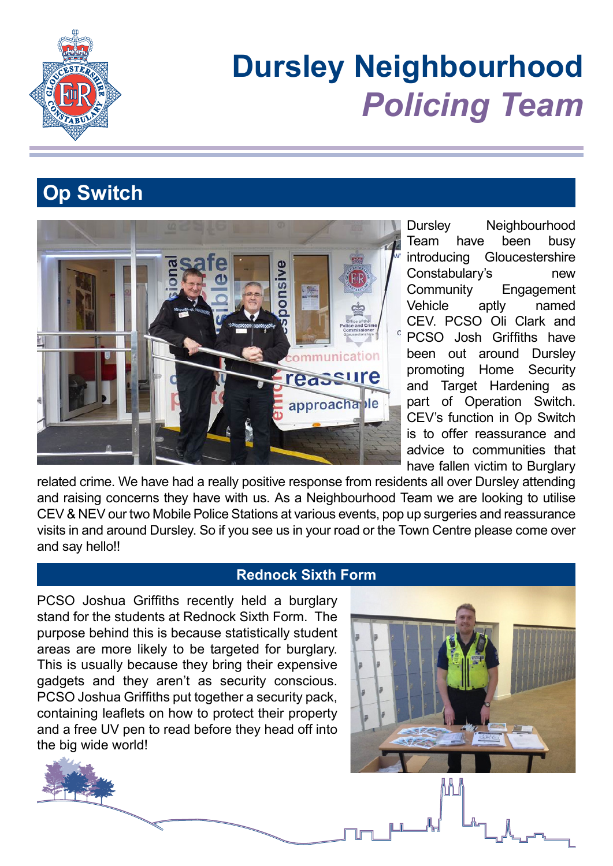

# **Dursley Neighbourhood** *Policing Team*

# **Op Switch**



Dursley Neighbourhood Team have been busy introducing Gloucestershire Constabulary's new Community Engagement Vehicle aptly named CEV. PCSO Oli Clark and PCSO Josh Griffiths have been out around Dursley promoting Home Security and Target Hardening as part of Operation Switch. CEV's function in Op Switch is to offer reassurance and advice to communities that have fallen victim to Burglary

M

related crime. We have had a really positive response from residents all over Dursley attending and raising concerns they have with us. As a Neighbourhood Team we are looking to utilise CEV & NEV our two Mobile Police Stations at various events, pop up surgeries and reassurance visits in and around Dursley. So if you see us in your road or the Town Centre please come over and say hello!!

#### **Rednock Sixth Form**

PCSO Joshua Griffiths recently held a burglary stand for the students at Rednock Sixth Form. The purpose behind this is because statistically student areas are more likely to be targeted for burglary. This is usually because they bring their expensive gadgets and they aren't as security conscious. PCSO Joshua Griffiths put together a security pack, containing leaflets on how to protect their property and a free UV pen to read before they head off into the big wide world!